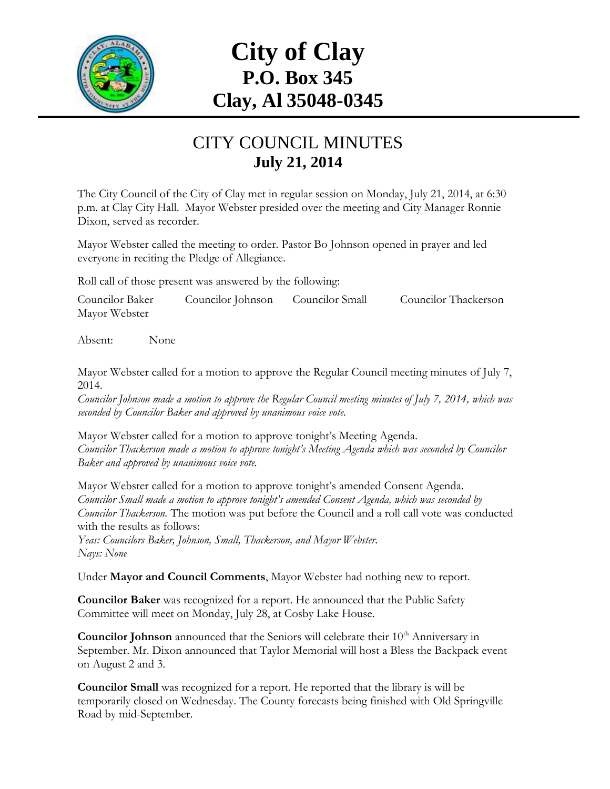

## **City of Clay P.O. Box 345 Clay, Al 35048-0345**

## CITY COUNCIL MINUTES **July 21, 2014**

The City Council of the City of Clay met in regular session on Monday, July 21, 2014, at 6:30 p.m. at Clay City Hall. Mayor Webster presided over the meeting and City Manager Ronnie Dixon, served as recorder.

Mayor Webster called the meeting to order. Pastor Bo Johnson opened in prayer and led everyone in reciting the Pledge of Allegiance.

Roll call of those present was answered by the following:

Councilor Baker Councilor Johnson Councilor Small Councilor Thackerson Mayor Webster

Absent: None

Mayor Webster called for a motion to approve the Regular Council meeting minutes of July 7, 2014.

*Councilor Johnson made a motion to approve the Regular Council meeting minutes of July 7, 2014, which was seconded by Councilor Baker and approved by unanimous voice vote.*

Mayor Webster called for a motion to approve tonight's Meeting Agenda. *Councilor Thackerson made a motion to approve tonight's Meeting Agenda which was seconded by Councilor Baker and approved by unanimous voice vote.*

Mayor Webster called for a motion to approve tonight's amended Consent Agenda. *Councilor Small made a motion to approve tonight's amended Consent Agenda, which was seconded by Councilor Thackerson.* The motion was put before the Council and a roll call vote was conducted with the results as follows:

*Yeas: Councilors Baker, Johnson, Small, Thackerson, and Mayor Webster. Nays: None*

Under **Mayor and Council Comments**, Mayor Webster had nothing new to report.

**Councilor Baker** was recognized for a report. He announced that the Public Safety Committee will meet on Monday, July 28, at Cosby Lake House.

**Councilor Johnson** announced that the Seniors will celebrate their 10<sup>th</sup> Anniversary in September. Mr. Dixon announced that Taylor Memorial will host a Bless the Backpack event on August 2 and 3.

**Councilor Small** was recognized for a report. He reported that the library is will be temporarily closed on Wednesday. The County forecasts being finished with Old Springville Road by mid-September.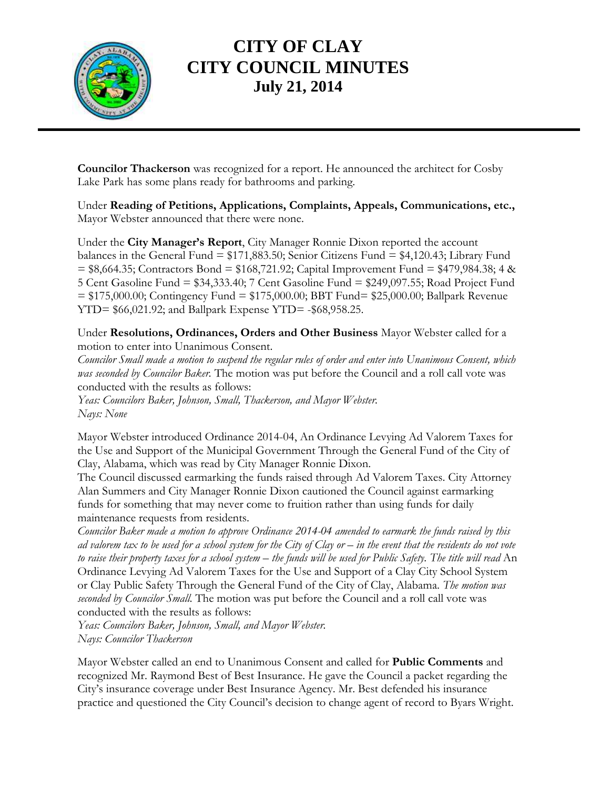

## **CITY OF CLAY CITY COUNCIL MINUTES July 21, 2014**

**Councilor Thackerson** was recognized for a report. He announced the architect for Cosby Lake Park has some plans ready for bathrooms and parking.

Under **Reading of Petitions, Applications, Complaints, Appeals, Communications, etc.,** Mayor Webster announced that there were none.

Under the **City Manager's Report**, City Manager Ronnie Dixon reported the account balances in the General Fund  $= $171,883.50$ ; Senior Citizens Fund  $= $4,120.43$ ; Library Fund  $=$  \$8,664.35; Contractors Bond = \$168,721.92; Capital Improvement Fund = \$479,984.38; 4 & 5 Cent Gasoline Fund = \$34,333.40; 7 Cent Gasoline Fund = \$249,097.55; Road Project Fund = \$175,000.00; Contingency Fund = \$175,000.00; BBT Fund= \$25,000.00; Ballpark Revenue YTD= \$66,021.92; and Ballpark Expense YTD= -\$68,958.25.

Under **Resolutions, Ordinances, Orders and Other Business** Mayor Webster called for a motion to enter into Unanimous Consent.

*Councilor Small made a motion to suspend the regular rules of order and enter into Unanimous Consent, which was seconded by Councilor Baker.* The motion was put before the Council and a roll call vote was conducted with the results as follows:

*Yeas: Councilors Baker, Johnson, Small, Thackerson, and Mayor Webster. Nays: None*

Mayor Webster introduced Ordinance 2014-04, An Ordinance Levying Ad Valorem Taxes for the Use and Support of the Municipal Government Through the General Fund of the City of Clay, Alabama, which was read by City Manager Ronnie Dixon.

The Council discussed earmarking the funds raised through Ad Valorem Taxes. City Attorney Alan Summers and City Manager Ronnie Dixon cautioned the Council against earmarking funds for something that may never come to fruition rather than using funds for daily maintenance requests from residents.

*Councilor Baker made a motion to approve Ordinance 2014-04 amended to earmark the funds raised by this ad valorem tax to be used for a school system for the City of Clay or – in the event that the residents do not vote to raise their property taxes for a school system – the funds will be used for Public Safety. The title will read* An Ordinance Levying Ad Valorem Taxes for the Use and Support of a Clay City School System or Clay Public Safety Through the General Fund of the City of Clay, Alabama. *The motion was seconded by Councilor Small.* The motion was put before the Council and a roll call vote was conducted with the results as follows:

*Yeas: Councilors Baker, Johnson, Small, and Mayor Webster. Nays: Councilor Thackerson*

Mayor Webster called an end to Unanimous Consent and called for **Public Comments** and recognized Mr. Raymond Best of Best Insurance. He gave the Council a packet regarding the City's insurance coverage under Best Insurance Agency. Mr. Best defended his insurance practice and questioned the City Council's decision to change agent of record to Byars Wright.